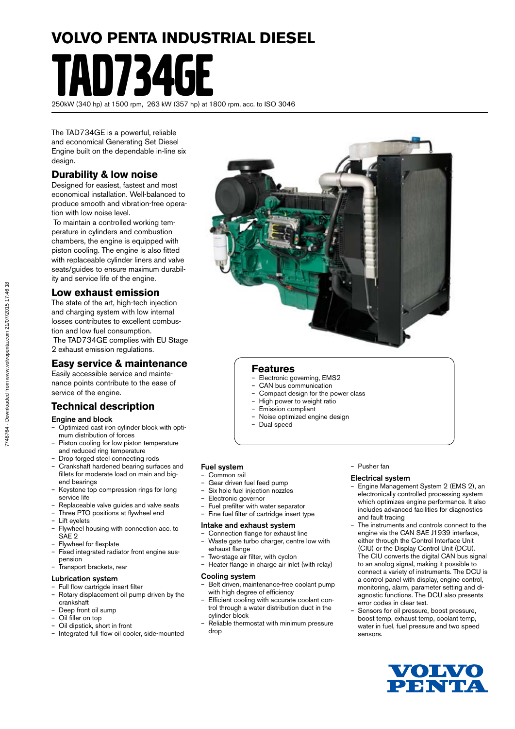# **VOLVO PENTA INDUSTRIAL DIESEL** 1734

250kW (340 hp) at 1500 rpm, 263 kW (357 hp) at 1800 rpm, acc. to ISO 3046

The TAD734GE is a powerful, reliable and economical Generating Set Diesel Engine built on the dependable in-line six design.

# **Durability & low noise**

Designed for easiest, fastest and most economical installation. Well-balanced to produce smooth and vibration-free operation with low noise level.

 To maintain a controlled working temperature in cylinders and combustion chambers, the engine is equipped with piston cooling. The engine is also fitted with replaceable cylinder liners and valve seats/guides to ensure maximum durability and service life of the engine.

# **Low exhaust emission**

The state of the art, high-tech injection and charging system with low internal losses contributes to excellent combustion and low fuel consumption.

 The TAD734GE complies with EU Stage 2 exhaust emission regulations.

# **Easy service & maintenance**

Easily accessible service and maintenance points contribute to the ease of service of the engine.

# **Technical description**

#### Engine and block

- Optimized cast iron cylinder block with optimum distribution of forces
- Piston cooling for low piston temperature and reduced ring temperature
- Drop forged steel connecting rods
- Crankshaft hardened bearing surfaces and fillets for moderate load on main and bigend bearings
- Keystone top compression rings for long service life
- Replaceable valve guides and valve seats Three PTO positions at flywheel end
- 
- Lift eyelets – Flywheel housing with connection acc. to SAE<sub>2</sub>
- Flywheel for flexplate
- Fixed integrated radiator front engine suspension
- Transport brackets, rear

#### Lubrication system

- Full flow cartrigde insert filter
- Rotary displacement oil pump driven by the crankshaft
- Deep front oil sump
- Oil filler on top
- Oil dipstick, short in front
- Integrated full flow oil cooler, side-mounted



### **Features**

- Electronic governing, EMS2
- CAN bus communication
- Compact design for the power class
- High power to weight ratio
- Emission compliant
- Noise optimized engine design
- Dual speed

## Fuel system

- Common rail
- Gear driven fuel feed pump
- Six hole fuel injection nozzles
- Electronic governor
- Fuel prefilter with water separator
- Fine fuel filter of cartridge insert type

#### Intake and exhaust system

- Connection flange for exhaust line – Waste gate turbo charger, centre low with exhaust flange
- Two-stage air filter, with cyclon
- Heater flange in charge air inlet (with relay)

#### Cooling system

- Belt driven, maintenance-free coolant pump with high degree of efficiency
- Efficient cooling with accurate coolant control through a water distribution duct in the cylinder block
- Reliable thermostat with minimum pressure drop

#### – Pusher fan

#### Electrical system

- Engine Management System 2 (EMS 2), an electronically controlled processing system which optimizes engine performance. It also includes advanced facilities for diagnostics and fault tracing
- The instruments and controls connect to the engine via the CAN SAE J1939 interface, either through the Control Interface Unit (CIU) or the Display Control Unit (DCU). The CIU converts the digital CAN bus signal to an anolog signal, making it possible to connect a variety of instruments. The DCU is a control panel with display, engine control, monitoring, alarm, parameter setting and diagnostic functions. The DCU also presents error codes in clear text.
- Sensors for oil pressure, boost pressure, boost temp, exhaust temp, coolant temp, water in fuel, fuel pressure and two speed sensors.